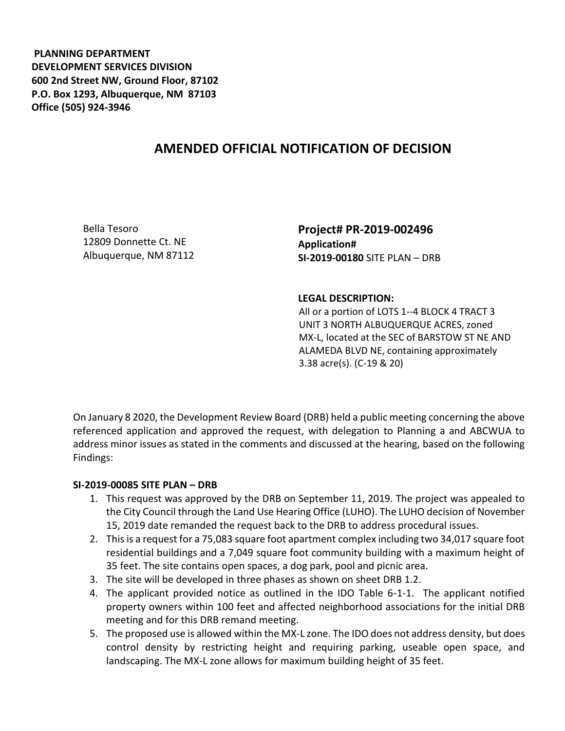**PLANNING DEPARTMENT DEVELOPMENT SERVICES DIVISION 600 2nd Street NW, Ground Floor, 87102 P.O. Box 1293, Albuquerque, NM 87103 Office (505) 924-3946** 

## **AMENDED OFFICIAL NOTIFICATION OF DECISION**

Bella Tesoro 12809 Donnette Ct. NE Albuquerque, NM 87112 **Project# PR-2019-002496 Application# SI-2019-00180** SITE PLAN – DRB

## **LEGAL DESCRIPTION:**

All or a portion of LOTS 1--4 BLOCK 4 TRACT 3 UNIT 3 NORTH ALBUQUERQUE ACRES, zoned MX-L, located at the SEC of BARSTOW ST NE AND ALAMEDA BLVD NE, containing approximately 3.38 acre(s). (C-19 & 20)

On January 8 2020, the Development Review Board (DRB) held a public meeting concerning the above referenced application and approved the request, with delegation to Planning a and ABCWUA to address minor issues as stated in the comments and discussed at the hearing, based on the following Findings:

## **SI-2019-00085 SITE PLAN – DRB**

- 1. This request was approved by the DRB on September 11, 2019. The project was appealed to the City Council through the Land Use Hearing Office (LUHO). The LUHO decision of November 15, 2019 date remanded the request back to the DRB to address procedural issues.
- 2. This is a request for a 75,083 square foot apartment complex including two 34,017 square foot residential buildings and a 7,049 square foot community building with a maximum height of 35 feet. The site contains open spaces, a dog park, pool and picnic area.
- 3. The site will be developed in three phases as shown on sheet DRB 1.2.
- 4. The applicant provided notice as outlined in the IDO Table 6-1-1. The applicant notified property owners within 100 feet and affected neighborhood associations for the initial DRB meeting and for this DRB remand meeting.
- 5. The proposed use is allowed within the MX-L zone. The IDO does not address density, but does control density by restricting height and requiring parking, useable open space, and landscaping. The MX-L zone allows for maximum building height of 35 feet.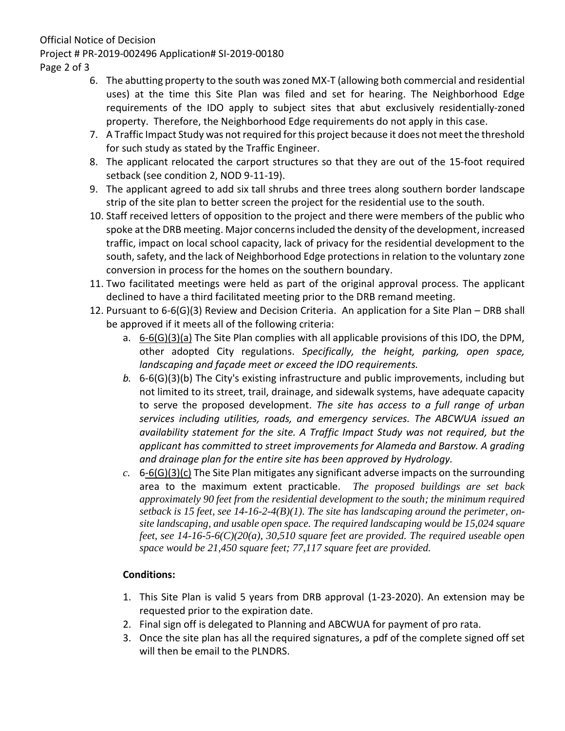Official Notice of Decision Project # PR-2019-002496 Application# SI-2019-00180 Page 2 of 3

- 6. The abutting property to the south waszoned MX-T (allowing both commercial and residential uses) at the time this Site Plan was filed and set for hearing. The Neighborhood Edge requirements of the IDO apply to subject sites that abut exclusively residentially-zoned property. Therefore, the Neighborhood Edge requirements do not apply in this case.
- 7. A Traffic Impact Study was not required for this project because it does not meet the threshold for such study as stated by the Traffic Engineer.
- 8. The applicant relocated the carport structures so that they are out of the 15-foot required setback (see condition 2, NOD 9-11-19).
- 9. The applicant agreed to add six tall shrubs and three trees along southern border landscape strip of the site plan to better screen the project for the residential use to the south.
- 10. Staff received letters of opposition to the project and there were members of the public who spoke at the DRB meeting. Major concerns included the density of the development, increased traffic, impact on local school capacity, lack of privacy for the residential development to the south, safety, and the lack of Neighborhood Edge protections in relation to the voluntary zone conversion in process for the homes on the southern boundary.
- 11. Two facilitated meetings were held as part of the original approval process. The applicant declined to have a third facilitated meeting prior to the DRB remand meeting.
- 12. Pursuant to 6-6(G)(3) Review and Decision Criteria. An application for a Site Plan DRB shall be approved if it meets all of the following criteria:
	- a.  $6-6(G)(3)(a)$  The Site Plan complies with all applicable provisions of this IDO, the DPM, other adopted City regulations. *Specifically, the height, parking, open space, landscaping and façade meet or exceed the IDO requirements.*
	- *b.* 6-6(G)(3)(b) The City's existing infrastructure and public improvements, including but not limited to its street, trail, drainage, and sidewalk systems, have adequate capacity to serve the proposed development. *The site has access to a full range of urban services including utilities, roads, and emergency services. The ABCWUA issued an availability statement for the site. A Traffic Impact Study was not required, but the applicant has committed to street improvements for Alameda and Barstow. A grading and drainage plan for the entire site has been approved by Hydrology.*
	- *c.* 6-6(G)(3)(c) The Site Plan mitigates any significant adverse impacts on the surrounding area to the maximum extent practicable. *The proposed buildings are set back approximately 90 feet from the residential development to the south; the minimum required setback is 15 feet, see 14-16-2-4(B)(1). The site has landscaping around the perimeter, onsite landscaping, and usable open space. The required landscaping would be 15,024 square feet, see 14-16-5-6(C)(20(a), 30,510 square feet are provided. The required useable open space would be 21,450 square feet; 77,117 square feet are provided.*

## **Conditions:**

- 1. This Site Plan is valid 5 years from DRB approval (1-23-2020). An extension may be requested prior to the expiration date.
- 2. Final sign off is delegated to Planning and ABCWUA for payment of pro rata.
- 3. Once the site plan has all the required signatures, a pdf of the complete signed off set will then be email to the PLNDRS.